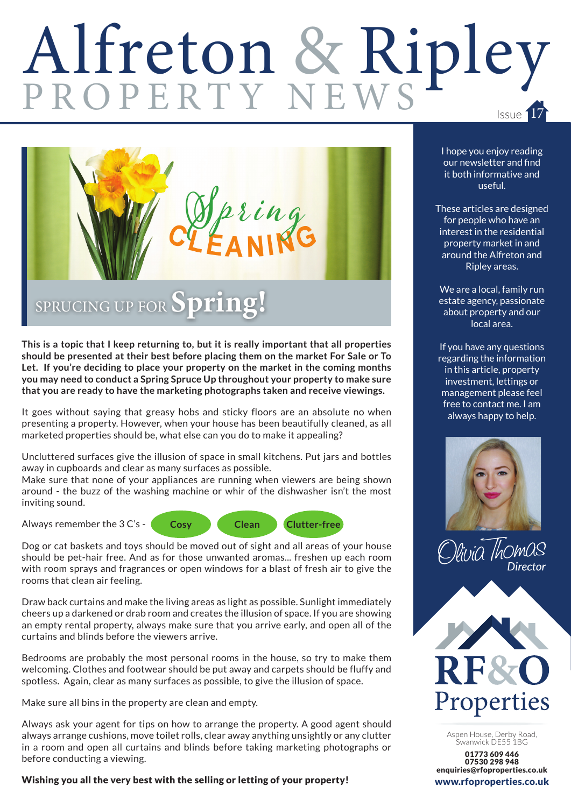## Alfreton & Ripley Issue 17



**This is a topic that I keep returning to, but it is really important that all properties should be presented at their best before placing them on the market For Sale or To Let. If you're deciding to place your property on the market in the coming months you may need to conduct a Spring Spruce Up throughout your property to make sure that you are ready to have the marketing photographs taken and receive viewings.** 

It goes without saying that greasy hobs and sticky floors are an absolute no when presenting a property. However, when your house has been beautifully cleaned, as all marketed properties should be, what else can you do to make it appealing?

Uncluttered surfaces give the illusion of space in small kitchens. Put jars and bottles away in cupboards and clear as many surfaces as possible.

Make sure that none of your appliances are running when viewers are being shown around - the buzz of the washing machine or whir of the dishwasher isn't the most inviting sound.

Always remember the 3 C's -



Dog or cat baskets and toys should be moved out of sight and all areas of your house should be pet-hair free. And as for those unwanted aromas... freshen up each room with room sprays and fragrances or open windows for a blast of fresh air to give the rooms that clean air feeling.

Draw back curtains and make the living areas as light as possible. Sunlight immediately cheers up a darkened or drab room and creates the illusion of space. If you are showing an empty rental property, always make sure that you arrive early, and open all of the curtains and blinds before the viewers arrive.

Bedrooms are probably the most personal rooms in the house, so try to make them welcoming. Clothes and footwear should be put away and carpets should be fluffy and spotless. Again, clear as many surfaces as possible, to give the illusion of space.

Make sure all bins in the property are clean and empty.

Always ask your agent for tips on how to arrange the property. A good agent should always arrange cushions, move toilet rolls, clear away anything unsightly or any clutter in a room and open all curtains and blinds before taking marketing photographs or before conducting a viewing.

Wishing you all the very best with the selling or letting of your property!

I hope you enjoy reading our newsletter and find it both informative and useful.

These articles are designed for people who have an interest in the residential property market in and around the Alfreton and Ripley areas.

We are a local, family run estate agency, passionate about property and our local area.

If you have any questions regarding the information in this article, property investment, lettings or management please feel free to contact me. I am always happy to help.







Aspen House, Derby Road, Swanwick DE55 1BG

01773 609 446 07530 298 948 enquiries@rfoproperties.co.uk www.rfoproperties.co.uk